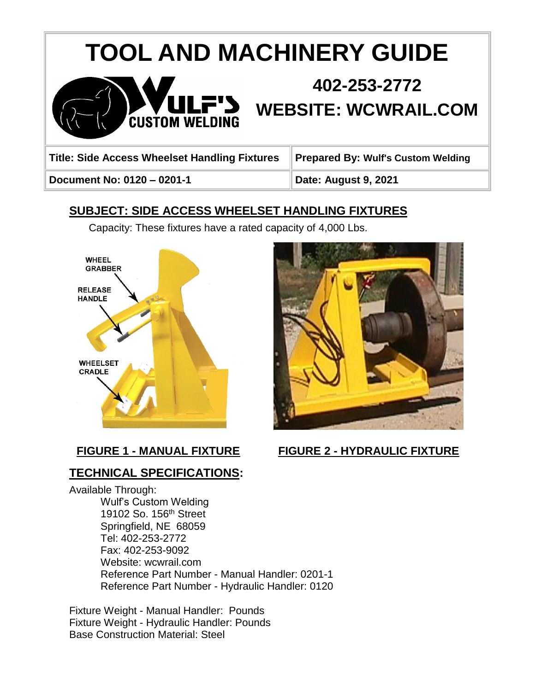# **TOOL AND MACHINERY GUIDE**



## **402-253-2772 WEBSITE: WCWRAIL.COM**

**Title: Side Access Wheelset Handling Fixtures Prepared By: Wulf's Custom Welding**

**Document No: 0120 – 0201-1 Date: August 9, 2021**

## **SUBJECT: SIDE ACCESS WHEELSET HANDLING FIXTURES**

Capacity: These fixtures have a rated capacity of 4,000 Lbs.





### **TECHNICAL SPECIFICATIONS:**

Available Through: Wulf's Custom Welding 19102 So. 156th Street Springfield, NE 68059 Tel: 402-253-2772 Fax: 402-253-9092 Website: wcwrail.com Reference Part Number - Manual Handler: 0201-1 Reference Part Number - Hydraulic Handler: 0120

Fixture Weight - Manual Handler: Pounds Fixture Weight - Hydraulic Handler: Pounds Base Construction Material: Steel

**FIGURE 1 - MANUAL FIXTURE FIGURE 2 - HYDRAULIC FIXTURE**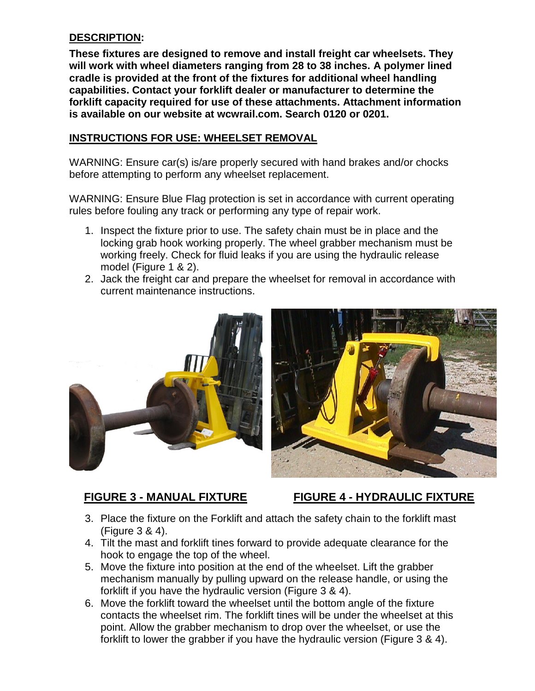#### **DESCRIPTION:**

**These fixtures are designed to remove and install freight car wheelsets. They will work with wheel diameters ranging from 28 to 38 inches. A polymer lined cradle is provided at the front of the fixtures for additional wheel handling capabilities. Contact your forklift dealer or manufacturer to determine the forklift capacity required for use of these attachments. Attachment information is available on our website at wcwrail.com. Search 0120 or 0201.** 

#### **INSTRUCTIONS FOR USE: WHEELSET REMOVAL**

WARNING: Ensure car(s) is/are properly secured with hand brakes and/or chocks before attempting to perform any wheelset replacement.

WARNING: Ensure Blue Flag protection is set in accordance with current operating rules before fouling any track or performing any type of repair work.

- 1. Inspect the fixture prior to use. The safety chain must be in place and the locking grab hook working properly. The wheel grabber mechanism must be working freely. Check for fluid leaks if you are using the hydraulic release model (Figure 1 & 2).
- 2. Jack the freight car and prepare the wheelset for removal in accordance with current maintenance instructions.





#### **FIGURE 3 - MANUAL FIXTURE FIGURE 4 - HYDRAULIC FIXTURE**

- 3. Place the fixture on the Forklift and attach the safety chain to the forklift mast (Figure 3 & 4).
- 4. Tilt the mast and forklift tines forward to provide adequate clearance for the hook to engage the top of the wheel.
- 5. Move the fixture into position at the end of the wheelset. Lift the grabber mechanism manually by pulling upward on the release handle, or using the forklift if you have the hydraulic version (Figure 3 & 4).
- 6. Move the forklift toward the wheelset until the bottom angle of the fixture contacts the wheelset rim. The forklift tines will be under the wheelset at this point. Allow the grabber mechanism to drop over the wheelset, or use the forklift to lower the grabber if you have the hydraulic version (Figure 3 & 4).